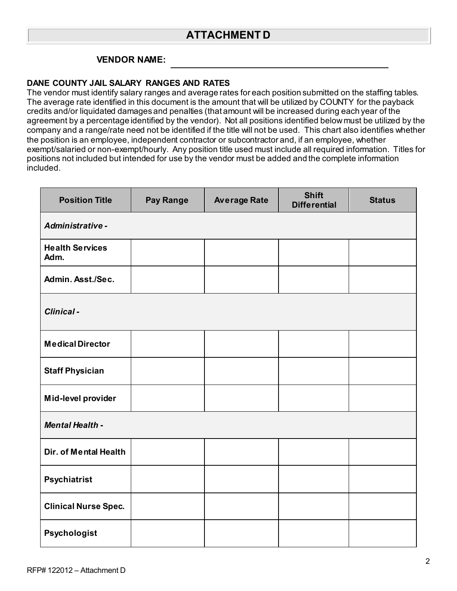## **ATTACHMENT D**

## **VENDOR NAME:**

## **DANE COUNTY JAIL SALARY RANGES AND RATES**

The vendor must identify salary ranges and average rates for each position submitted on the staffing tables. The average rate identified in this document is the amount that will be utilized by COUNTY for the payback credits and/or liquidated damages and penalties (that amount will be increased during each year of the agreement by a percentage identified by the vendor). Not all positions identified below must be utilized by the company and a range/rate need not be identified if the title will not be used. This chart also identifies whether the position is an employee, independent contractor or subcontractor and, if an employee, whether exempt/salaried or non-exempt/hourly. Any position title used must include all required information. Titles for positions not included but intended for use by the vendor must be added and the complete information included.

| <b>Position Title</b>          | <b>Pay Range</b> | <b>Average Rate</b> | <b>Shift</b><br><b>Differential</b> | <b>Status</b> |  |  |
|--------------------------------|------------------|---------------------|-------------------------------------|---------------|--|--|
| Administrative -               |                  |                     |                                     |               |  |  |
| <b>Health Services</b><br>Adm. |                  |                     |                                     |               |  |  |
| Admin. Asst./Sec.              |                  |                     |                                     |               |  |  |
| Clinical-                      |                  |                     |                                     |               |  |  |
| <b>Medical Director</b>        |                  |                     |                                     |               |  |  |
| <b>Staff Physician</b>         |                  |                     |                                     |               |  |  |
| Mid-level provider             |                  |                     |                                     |               |  |  |
| <b>Mental Health -</b>         |                  |                     |                                     |               |  |  |
| Dir. of Mental Health          |                  |                     |                                     |               |  |  |
| Psychiatrist                   |                  |                     |                                     |               |  |  |
| <b>Clinical Nurse Spec.</b>    |                  |                     |                                     |               |  |  |
| Psychologist                   |                  |                     |                                     |               |  |  |